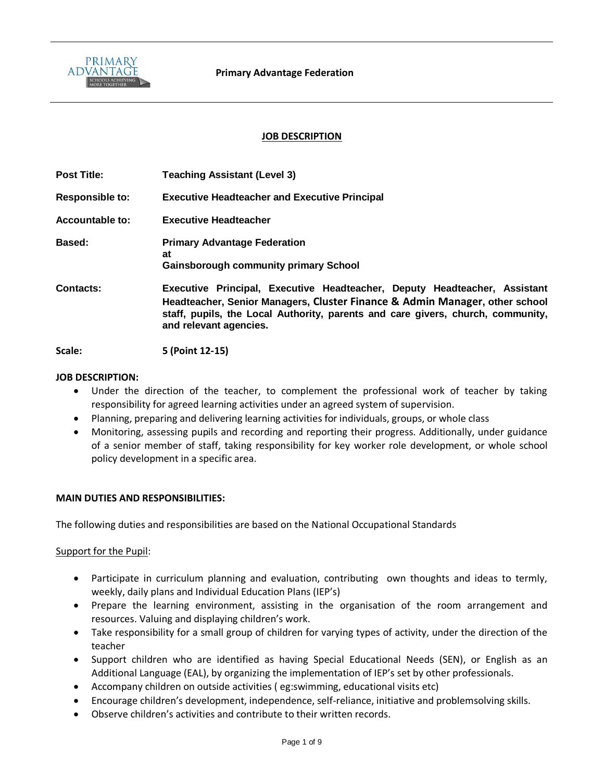

#### **JOB DESCRIPTION**

| <b>Post Title:</b>     | <b>Teaching Assistant (Level 3)</b>                                                                                                                                                                                                                                   |
|------------------------|-----------------------------------------------------------------------------------------------------------------------------------------------------------------------------------------------------------------------------------------------------------------------|
| <b>Responsible to:</b> | <b>Executive Headteacher and Executive Principal</b>                                                                                                                                                                                                                  |
| Accountable to:        | <b>Executive Headteacher</b>                                                                                                                                                                                                                                          |
| Based:                 | <b>Primary Advantage Federation</b><br>at<br><b>Gainsborough community primary School</b>                                                                                                                                                                             |
| <b>Contacts:</b>       | Executive Principal, Executive Headteacher, Deputy Headteacher, Assistant<br>Headteacher, Senior Managers, Cluster Finance & Admin Manager, other school<br>staff, pupils, the Local Authority, parents and care givers, church, community,<br>and relevant agencies. |

**Scale: 5 (Point 12-15)**

#### **JOB DESCRIPTION:**

- Under the direction of the teacher, to complement the professional work of teacher by taking responsibility for agreed learning activities under an agreed system of supervision.
- Planning, preparing and delivering learning activities for individuals, groups, or whole class
- Monitoring, assessing pupils and recording and reporting their progress. Additionally, under guidance of a senior member of staff, taking responsibility for key worker role development, or whole school policy development in a specific area.

#### **MAIN DUTIES AND RESPONSIBILITIES:**

The following duties and responsibilities are based on the National Occupational Standards

#### Support for the Pupil:

- Participate in curriculum planning and evaluation, contributing own thoughts and ideas to termly, weekly, daily plans and Individual Education Plans (IEP's)
- Prepare the learning environment, assisting in the organisation of the room arrangement and resources. Valuing and displaying children's work.
- Take responsibility for a small group of children for varying types of activity, under the direction of the teacher
- Support children who are identified as having Special Educational Needs (SEN), or English as an Additional Language (EAL), by organizing the implementation of IEP's set by other professionals.
- Accompany children on outside activities ( eg:swimming, educational visits etc)
- Encourage children's development, independence, self-reliance, initiative and problemsolving skills.
- Observe children's activities and contribute to their written records.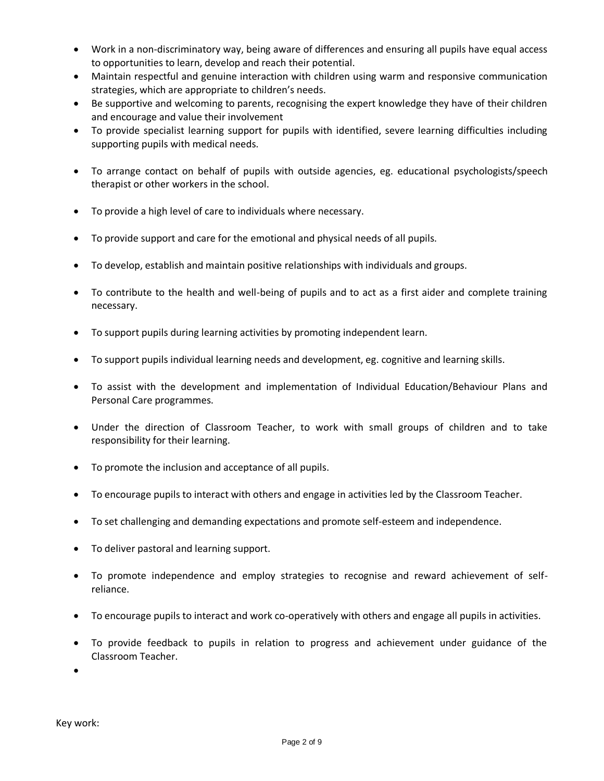- Work in a non-discriminatory way, being aware of differences and ensuring all pupils have equal access to opportunities to learn, develop and reach their potential.
- Maintain respectful and genuine interaction with children using warm and responsive communication strategies, which are appropriate to children's needs.
- Be supportive and welcoming to parents, recognising the expert knowledge they have of their children and encourage and value their involvement
- To provide specialist learning support for pupils with identified, severe learning difficulties including supporting pupils with medical needs.
- To arrange contact on behalf of pupils with outside agencies, eg. educational psychologists/speech therapist or other workers in the school.
- To provide a high level of care to individuals where necessary.
- To provide support and care for the emotional and physical needs of all pupils.
- To develop, establish and maintain positive relationships with individuals and groups.
- To contribute to the health and well-being of pupils and to act as a first aider and complete training necessary.
- To support pupils during learning activities by promoting independent learn.
- To support pupils individual learning needs and development, eg. cognitive and learning skills.
- To assist with the development and implementation of Individual Education/Behaviour Plans and Personal Care programmes.
- Under the direction of Classroom Teacher, to work with small groups of children and to take responsibility for their learning.
- To promote the inclusion and acceptance of all pupils.
- To encourage pupils to interact with others and engage in activities led by the Classroom Teacher.
- To set challenging and demanding expectations and promote self-esteem and independence.
- To deliver pastoral and learning support.
- To promote independence and employ strategies to recognise and reward achievement of selfreliance.
- To encourage pupils to interact and work co-operatively with others and engage all pupils in activities.
- To provide feedback to pupils in relation to progress and achievement under guidance of the Classroom Teacher.

•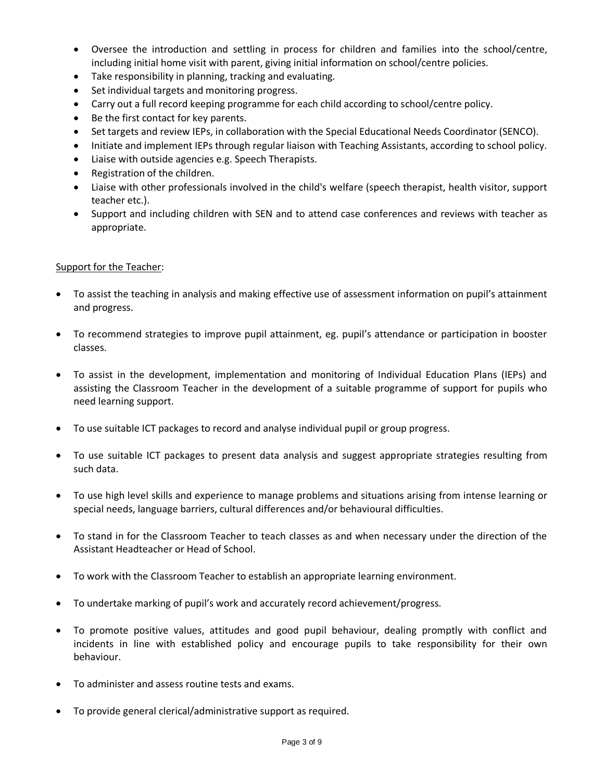- Oversee the introduction and settling in process for children and families into the school/centre, including initial home visit with parent, giving initial information on school/centre policies.
- Take responsibility in planning, tracking and evaluating.
- Set individual targets and monitoring progress.
- Carry out a full record keeping programme for each child according to school/centre policy.
- Be the first contact for key parents.
- Set targets and review IEPs, in collaboration with the Special Educational Needs Coordinator (SENCO).
- Initiate and implement IEPs through regular liaison with Teaching Assistants, according to school policy.
- Liaise with outside agencies e.g. Speech Therapists.
- Registration of the children.
- Liaise with other professionals involved in the child's welfare (speech therapist, health visitor, support teacher etc.).
- Support and including children with SEN and to attend case conferences and reviews with teacher as appropriate.

### Support for the Teacher:

- To assist the teaching in analysis and making effective use of assessment information on pupil's attainment and progress.
- To recommend strategies to improve pupil attainment, eg. pupil's attendance or participation in booster classes.
- To assist in the development, implementation and monitoring of Individual Education Plans (IEPs) and assisting the Classroom Teacher in the development of a suitable programme of support for pupils who need learning support.
- To use suitable ICT packages to record and analyse individual pupil or group progress.
- To use suitable ICT packages to present data analysis and suggest appropriate strategies resulting from such data.
- To use high level skills and experience to manage problems and situations arising from intense learning or special needs, language barriers, cultural differences and/or behavioural difficulties.
- To stand in for the Classroom Teacher to teach classes as and when necessary under the direction of the Assistant Headteacher or Head of School.
- To work with the Classroom Teacher to establish an appropriate learning environment.
- To undertake marking of pupil's work and accurately record achievement/progress.
- To promote positive values, attitudes and good pupil behaviour, dealing promptly with conflict and incidents in line with established policy and encourage pupils to take responsibility for their own behaviour.
- To administer and assess routine tests and exams.
- To provide general clerical/administrative support as required.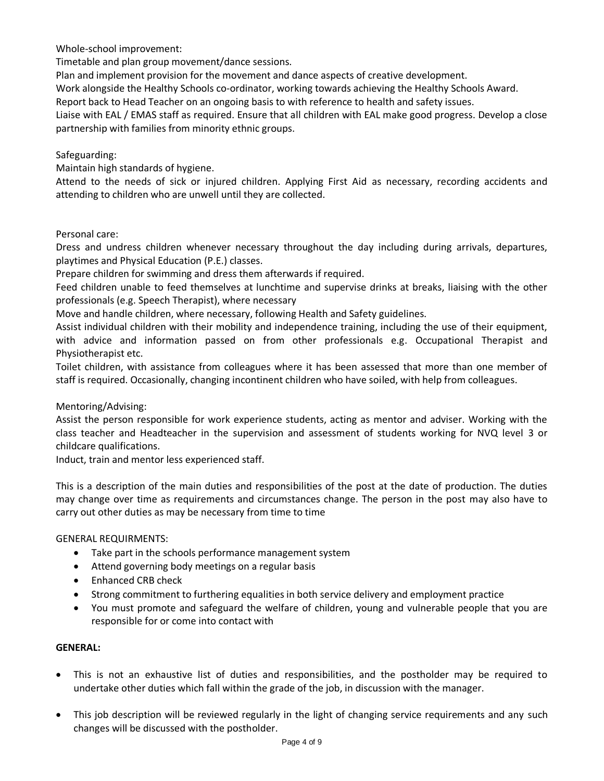Whole-school improvement:

Timetable and plan group movement/dance sessions.

Plan and implement provision for the movement and dance aspects of creative development.

Work alongside the Healthy Schools co-ordinator, working towards achieving the Healthy Schools Award.

Report back to Head Teacher on an ongoing basis to with reference to health and safety issues.

Liaise with EAL / EMAS staff as required. Ensure that all children with EAL make good progress. Develop a close partnership with families from minority ethnic groups.

# Safeguarding:

Maintain high standards of hygiene.

Attend to the needs of sick or injured children. Applying First Aid as necessary, recording accidents and attending to children who are unwell until they are collected.

## Personal care:

Dress and undress children whenever necessary throughout the day including during arrivals, departures, playtimes and Physical Education (P.E.) classes.

Prepare children for swimming and dress them afterwards if required.

Feed children unable to feed themselves at lunchtime and supervise drinks at breaks, liaising with the other professionals (e.g. Speech Therapist), where necessary

Move and handle children, where necessary, following Health and Safety guidelines.

Assist individual children with their mobility and independence training, including the use of their equipment, with advice and information passed on from other professionals e.g. Occupational Therapist and Physiotherapist etc.

Toilet children, with assistance from colleagues where it has been assessed that more than one member of staff is required. Occasionally, changing incontinent children who have soiled, with help from colleagues.

## Mentoring/Advising:

Assist the person responsible for work experience students, acting as mentor and adviser. Working with the class teacher and Headteacher in the supervision and assessment of students working for NVQ level 3 or childcare qualifications.

Induct, train and mentor less experienced staff.

This is a description of the main duties and responsibilities of the post at the date of production. The duties may change over time as requirements and circumstances change. The person in the post may also have to carry out other duties as may be necessary from time to time

## GENERAL REQUIRMENTS:

- Take part in the schools performance management system
- Attend governing body meetings on a regular basis
- Enhanced CRB check
- Strong commitment to furthering equalities in both service delivery and employment practice
- You must promote and safeguard the welfare of children, young and vulnerable people that you are responsible for or come into contact with

#### **GENERAL:**

- This is not an exhaustive list of duties and responsibilities, and the postholder may be required to undertake other duties which fall within the grade of the job, in discussion with the manager.
- This job description will be reviewed regularly in the light of changing service requirements and any such changes will be discussed with the postholder.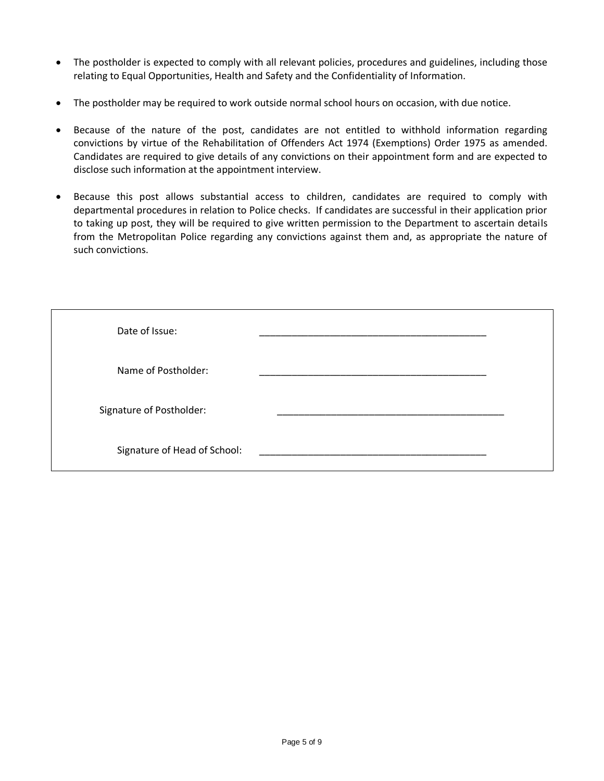- The postholder is expected to comply with all relevant policies, procedures and guidelines, including those relating to Equal Opportunities, Health and Safety and the Confidentiality of Information.
- The postholder may be required to work outside normal school hours on occasion, with due notice.
- Because of the nature of the post, candidates are not entitled to withhold information regarding convictions by virtue of the Rehabilitation of Offenders Act 1974 (Exemptions) Order 1975 as amended. Candidates are required to give details of any convictions on their appointment form and are expected to disclose such information at the appointment interview.
- Because this post allows substantial access to children, candidates are required to comply with departmental procedures in relation to Police checks. If candidates are successful in their application prior to taking up post, they will be required to give written permission to the Department to ascertain details from the Metropolitan Police regarding any convictions against them and, as appropriate the nature of such convictions.

| Date of Issue:               |  |
|------------------------------|--|
| Name of Postholder:          |  |
| Signature of Postholder:     |  |
| Signature of Head of School: |  |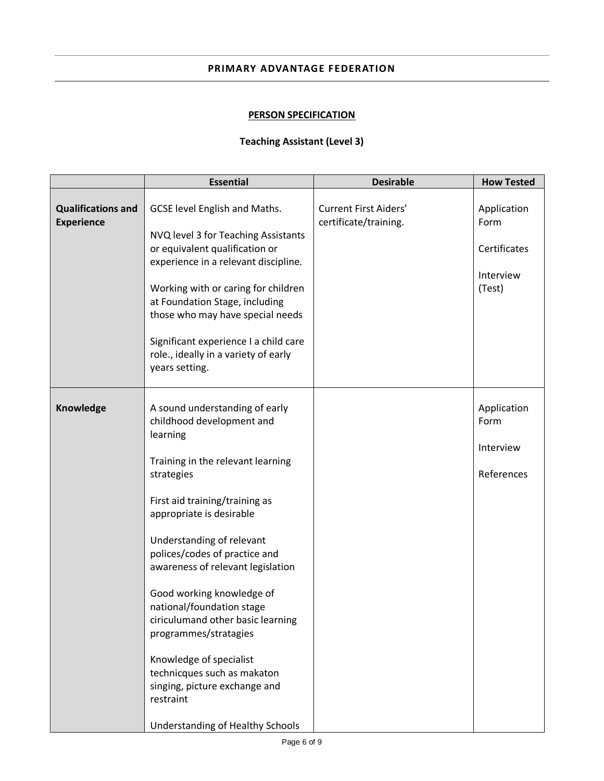### **PRIMARY ADVANTAGE FEDERATION**

# **PERSON SPECIFICATION**

## **Teaching Assistant (Level 3)**

|                                                | <b>Essential</b>                                                                                                                                                                                                                                                                                                                                                                                                                                                                                                                                                | <b>Desirable</b>                                      | <b>How Tested</b>                                          |
|------------------------------------------------|-----------------------------------------------------------------------------------------------------------------------------------------------------------------------------------------------------------------------------------------------------------------------------------------------------------------------------------------------------------------------------------------------------------------------------------------------------------------------------------------------------------------------------------------------------------------|-------------------------------------------------------|------------------------------------------------------------|
| <b>Qualifications and</b><br><b>Experience</b> | GCSE level English and Maths.<br>NVQ level 3 for Teaching Assistants<br>or equivalent qualification or<br>experience in a relevant discipline.<br>Working with or caring for children<br>at Foundation Stage, including<br>those who may have special needs<br>Significant experience I a child care<br>role., ideally in a variety of early<br>years setting.                                                                                                                                                                                                  | <b>Current First Aiders'</b><br>certificate/training. | Application<br>Form<br>Certificates<br>Interview<br>(Test) |
| Knowledge                                      | A sound understanding of early<br>childhood development and<br>learning<br>Training in the relevant learning<br>strategies<br>First aid training/training as<br>appropriate is desirable<br>Understanding of relevant<br>polices/codes of practice and<br>awareness of relevant legislation<br>Good working knowledge of<br>national/foundation stage<br>ciriculumand other basic learning<br>programmes/stratagies<br>Knowledge of specialist<br>technicques such as makaton<br>singing, picture exchange and<br>restraint<br>Understanding of Healthy Schools |                                                       | Application<br>Form<br>Interview<br>References             |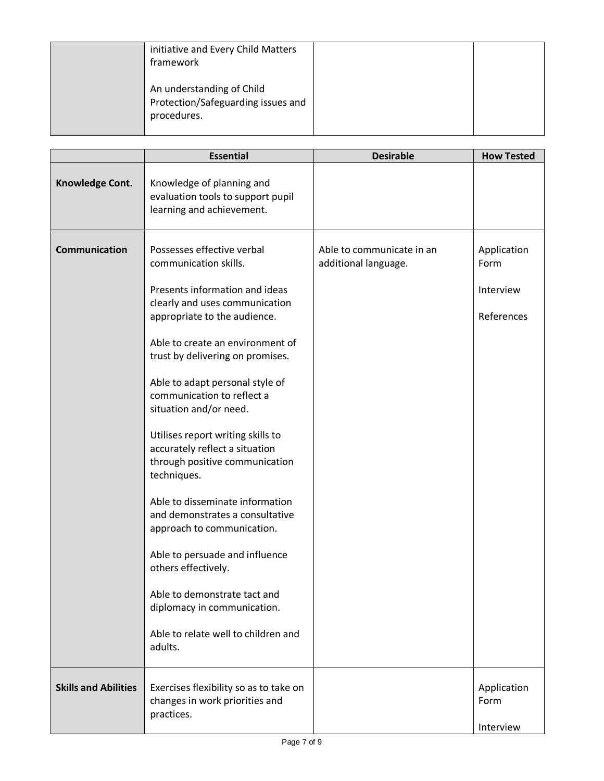| initiative and Every Child Matters<br>framework                                |  |
|--------------------------------------------------------------------------------|--|
| An understanding of Child<br>Protection/Safeguarding issues and<br>procedures. |  |

|                             | <b>Essential</b>                                                                                                                                                                                                                                                                                                                                                                                                                                                                                                                                                                                                                                                                                                                 | <b>Desirable</b>                                  | <b>How Tested</b>                              |
|-----------------------------|----------------------------------------------------------------------------------------------------------------------------------------------------------------------------------------------------------------------------------------------------------------------------------------------------------------------------------------------------------------------------------------------------------------------------------------------------------------------------------------------------------------------------------------------------------------------------------------------------------------------------------------------------------------------------------------------------------------------------------|---------------------------------------------------|------------------------------------------------|
| Knowledge Cont.             | Knowledge of planning and<br>evaluation tools to support pupil<br>learning and achievement.                                                                                                                                                                                                                                                                                                                                                                                                                                                                                                                                                                                                                                      |                                                   |                                                |
| <b>Communication</b>        | Possesses effective verbal<br>communication skills.<br>Presents information and ideas<br>clearly and uses communication<br>appropriate to the audience.<br>Able to create an environment of<br>trust by delivering on promises.<br>Able to adapt personal style of<br>communication to reflect a<br>situation and/or need.<br>Utilises report writing skills to<br>accurately reflect a situation<br>through positive communication<br>techniques.<br>Able to disseminate information<br>and demonstrates a consultative<br>approach to communication.<br>Able to persuade and influence<br>others effectively.<br>Able to demonstrate tact and<br>diplomacy in communication.<br>Able to relate well to children and<br>adults. | Able to communicate in an<br>additional language. | Application<br>Form<br>Interview<br>References |
| <b>Skills and Abilities</b> | Exercises flexibility so as to take on<br>changes in work priorities and<br>practices.                                                                                                                                                                                                                                                                                                                                                                                                                                                                                                                                                                                                                                           |                                                   | Application<br>Form<br>Interview               |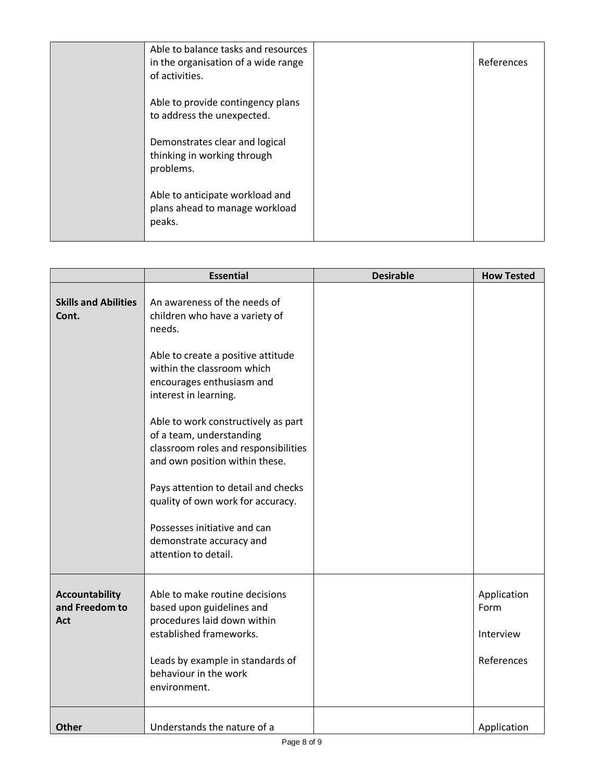| Able to balance tasks and resources<br>in the organisation of a wide range<br>of activities. | References |
|----------------------------------------------------------------------------------------------|------------|
| Able to provide contingency plans<br>to address the unexpected.                              |            |
| Demonstrates clear and logical<br>thinking in working through<br>problems.                   |            |
| Able to anticipate workload and<br>plans ahead to manage workload<br>peaks.                  |            |

|                                                | <b>Essential</b>                                                                                                                                                                                                                                                                                                                                                                                                                                                                                                | <b>Desirable</b> | <b>How Tested</b>                              |
|------------------------------------------------|-----------------------------------------------------------------------------------------------------------------------------------------------------------------------------------------------------------------------------------------------------------------------------------------------------------------------------------------------------------------------------------------------------------------------------------------------------------------------------------------------------------------|------------------|------------------------------------------------|
| <b>Skills and Abilities</b><br>Cont.           | An awareness of the needs of<br>children who have a variety of<br>needs.<br>Able to create a positive attitude<br>within the classroom which<br>encourages enthusiasm and<br>interest in learning.<br>Able to work constructively as part<br>of a team, understanding<br>classroom roles and responsibilities<br>and own position within these.<br>Pays attention to detail and checks<br>quality of own work for accuracy.<br>Possesses initiative and can<br>demonstrate accuracy and<br>attention to detail. |                  |                                                |
| <b>Accountability</b><br>and Freedom to<br>Act | Able to make routine decisions<br>based upon guidelines and<br>procedures laid down within<br>established frameworks.<br>Leads by example in standards of<br>behaviour in the work<br>environment.                                                                                                                                                                                                                                                                                                              |                  | Application<br>Form<br>Interview<br>References |
| <b>Other</b>                                   | Understands the nature of a                                                                                                                                                                                                                                                                                                                                                                                                                                                                                     |                  | Application                                    |